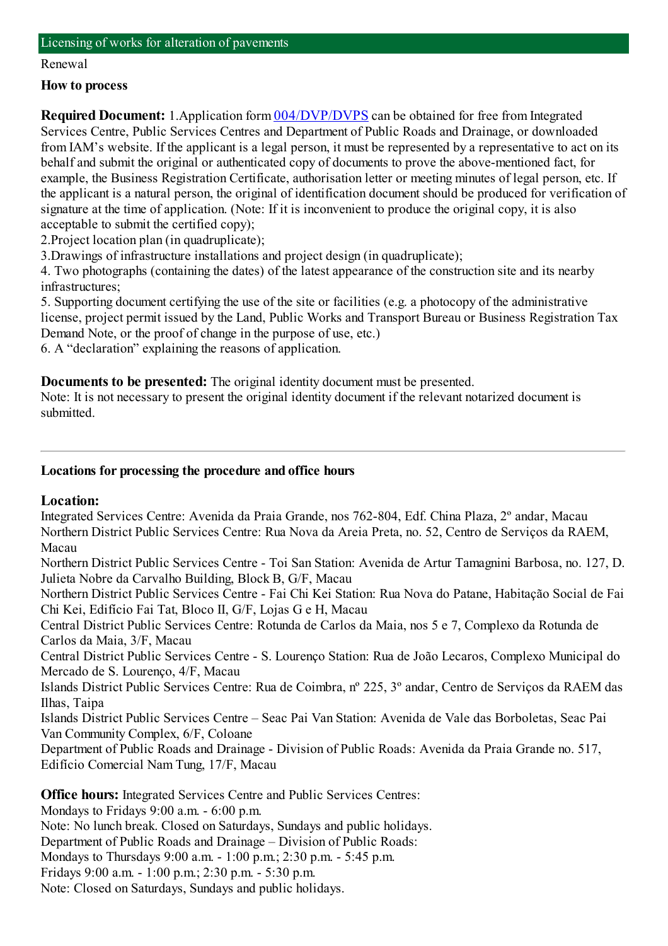### Licensing of works for alteration of pavements

#### Renewal

## **How to process**

**Required Document:** 1.Application form  $\frac{004}{DVP/DVPS}$  can be obtained for free from Integrated Services Centre, Public Services Centres and Department of Public Roads and Drainage, or downloaded fromIAM's website. If the applicant is a legal person, it must be represented by a representative to act on its behalf and submit the original or authenticated copy of documents to prove the above-mentioned fact, for example, the Business Registration Certificate, authorisation letter or meeting minutes of legal person, etc. If the applicant is a natural person, the original of identification document should be produced for verification of signature at the time of application. (Note: If it is inconvenient to produce the original copy, it is also acceptable to submit the certified copy);

2.Project location plan (in quadruplicate);

3.Drawings of infrastructure installations and project design (in quadruplicate);

4. Two photographs (containing the dates) of the latest appearance of the construction site and its nearby infrastructures;

5. Supporting document certifying the use of the site or facilities (e.g. a photocopy of the administrative license, project permit issued by the Land, Public Works and Transport Bureau or Business Registration Tax Demand Note, or the proof of change in the purpose of use, etc.)

6. A "declaration" explaining the reasons of application.

**Documents to be presented:** The original identity document must be presented.

Note: It is not necessary to present the original identity document if the relevant notarized document is submitted.

## **Locations for processing the procedure and office hours**

# **Location:**

Integrated Services Centre: Avenida da Praia Grande, nos 762-804, Edf. China Plaza, 2º andar, Macau Northern District Public Services Centre: Rua Nova da Areia Preta, no. 52, Centro de Serviços da RAEM, Macau

Northern District Public Services Centre - Toi San Station: Avenida de Artur Tamagnini Barbosa, no. 127, D. Julieta Nobre da Carvalho Building, Block B, G/F, Macau

Northern District Public Services Centre - Fai Chi Kei Station: Rua Nova do Patane, Habitação Social de Fai Chi Kei, Edifício Fai Tat, Bloco II, G/F, Lojas G e H, Macau

Central District Public Services Centre: Rotunda de Carlos da Maia, nos 5 e 7, Complexo da Rotunda de Carlos da Maia, 3/F, Macau

Central District Public Services Centre - S. Lourenço Station: Rua de João Lecaros, Complexo Municipal do Mercado de S. Lourenço, 4/F, Macau

Islands District Public Services Centre: Rua de Coimbra, nº 225, 3º andar, Centro de Serviços da RAEM das Ilhas, Taipa

Islands District Public Services Centre – Seac Pai Van Station: Avenida de Vale das Borboletas, Seac Pai Van Community Complex, 6/F, Coloane

Department of Public Roads and Drainage - Division of Public Roads: Avenida da Praia Grande no. 517, Edifício Comercial NamTung, 17/F, Macau

**Office hours:** Integrated Services Centre and Public Services Centres:

Mondays to Fridays 9:00 a.m. - 6:00 p.m.

Note: No lunch break. Closed on Saturdays, Sundays and public holidays.

- Department of Public Roads and Drainage Division of Public Roads:
- Mondays to Thursdays 9:00 a.m. 1:00 p.m.; 2:30 p.m. 5:45 p.m.

Fridays 9:00 a.m. - 1:00 p.m.; 2:30 p.m. - 5:30 p.m.

Note: Closed on Saturdays, Sundays and public holidays.